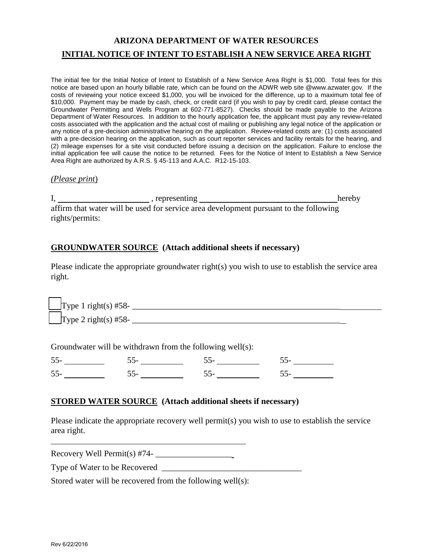# **ARIZONA DEPARTMENT OF WATER RESOURCES INITIAL NOTICE OF INTENT TO ESTABLISH A NEW SERVICE AREA RIGHT**

The initial fee for the Initial Notice of Intent to Establish of a New Service Area Right is \$1,000. Total fees for this notice are based upon an hourly billable rate, which can be found on the ADWR web site @www.azwater.gov. If the costs of reviewing your notice exceed \$1,000, you will be invoiced for the difference, up to a maximum total fee of \$10,000. Payment may be made by cash, check, or credit card (if you wish to pay by credit card, please contact the Groundwater Permitting and Wells Program at 602-771-8527). Checks should be made payable to the Arizona Department of Water Resources. In addition to the hourly application fee, the applicant must pay any review-related costs associated with the application and the actual cost of mailing or publishing any legal notice of the application or any notice of a pre-decision administrative hearing on the application. Review-related costs are: (1) costs associated with a pre-decision hearing on the application, such as court reporter services and facility rentals for the hearing, and (2) mileage expenses for a site visit conducted before issuing a decision on the application. Failure to enclose the initial application fee will cause the notice to be returned. Fees for the Notice of Intent to Establish a New Service Area Right are authorized by A.R.S. § 45-113 and A.A.C. R12-15-103.

#### *(Please print*)

I, presenting hereby hereby affirm that water will be used for service area development pursuant to the following rights/permits:

# **GROUNDWATER SOURCE (Attach additional sheets if necessary)**

Please indicate the appropriate groundwater right(s) you wish to use to establish the service area right.

Type 1 right(s) #58- \_\_\_\_\_\_\_\_\_\_\_\_\_\_\_\_\_\_\_\_\_\_\_\_\_\_\_\_\_\_\_\_\_\_\_\_\_\_\_\_\_\_\_\_\_\_\_\_\_ Type 2 right(s)  $#58$ -

Groundwater will be withdrawn from the following well(s):

| $\overline{\phantom{a}}$ |  |  |
|--------------------------|--|--|
|                          |  |  |

#### **STORED WATER SOURCE (Attach additional sheets if necessary)**

Please indicate the appropriate recovery well permit(s) you wish to use to establish the service area right.

 $Recovery Well Permit(s)$  #74- $\_\_\_\_\_\_\_\_\_\_\_\_\_\_\_\_\_\_\_\_\_$ 

Type of Water to be Recovered \_\_\_\_\_\_\_\_\_\_\_\_\_\_\_\_\_\_\_\_\_\_\_\_\_\_\_\_\_\_\_\_\_

Stored water will be recovered from the following well(s):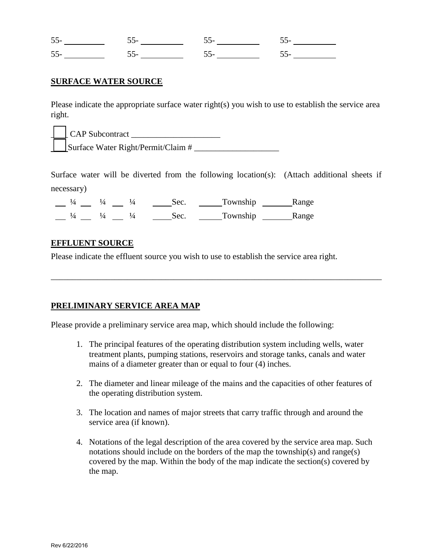### **SURFACE WATER SOURCE**

Please indicate the appropriate surface water right(s) you wish to use to establish the service area right.

|  | CAP Subcontract                    |
|--|------------------------------------|
|  | Surface Water Right/Permit/Claim # |

Surface water will be diverted from the following location(s): (Attach additional sheets if necessary)

\_\_\_\_\_\_\_\_\_\_\_\_\_\_\_\_\_\_\_\_\_\_\_\_\_\_\_\_\_\_\_\_\_\_\_\_\_\_\_\_\_\_\_\_\_\_\_\_\_\_\_\_\_\_\_\_\_\_\_\_\_\_\_\_\_\_\_\_\_\_\_\_\_\_\_\_\_\_

|  | ، ص      | Township | Range |
|--|----------|----------|-------|
|  | $. \rho$ | Township | Range |

#### **EFFLUENT SOURCE**

Please indicate the effluent source you wish to use to establish the service area right.

#### **PRELIMINARY SERVICE AREA MAP**

Please provide a preliminary service area map, which should include the following:

- 1. The principal features of the operating distribution system including wells, water treatment plants, pumping stations, reservoirs and storage tanks, canals and water mains of a diameter greater than or equal to four (4) inches.
- 2. The diameter and linear mileage of the mains and the capacities of other features of the operating distribution system.
- 3. The location and names of major streets that carry traffic through and around the service area (if known).
- 4. Notations of the legal description of the area covered by the service area map. Such notations should include on the borders of the map the township(s) and range(s) covered by the map. Within the body of the map indicate the section(s) covered by the map.